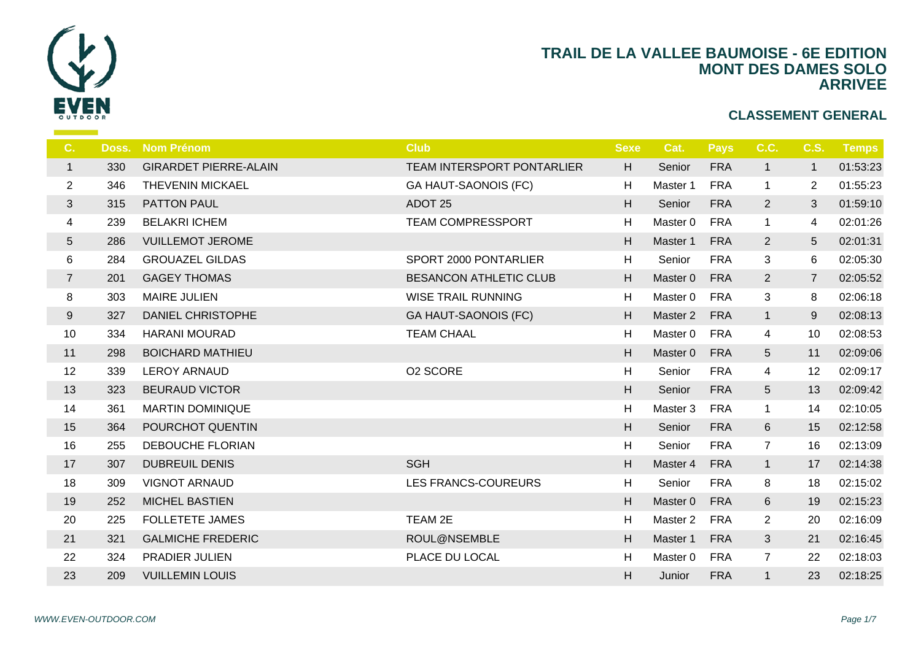

| C.             | Doss. | <b>Nom Prénom</b>            | <b>Club</b>                 | <b>Sexe</b> | -C             |
|----------------|-------|------------------------------|-----------------------------|-------------|----------------|
| $\mathbf{1}$   | 330   | <b>GIRARDET PIERRE-ALAIN</b> | TEAM INTERSPORT PONTARLIER  | H           | S <sub>6</sub> |
| $\overline{2}$ | 346   | <b>THEVENIN MICKAEL</b>      | <b>GA HAUT-SAONOIS (FC)</b> | H           | Ma             |
| 3              | 315   | PATTON PAUL                  | ADOT <sub>25</sub>          | H           | S <sub>6</sub> |
| 4              | 239   | <b>BELAKRI ICHEM</b>         | <b>TEAM COMPRESSPORT</b>    | H           | Ma             |
| 5              | 286   | <b>VUILLEMOT JEROME</b>      |                             | H           | Ma             |
| 6              | 284   | <b>GROUAZEL GILDAS</b>       | SPORT 2000 PONTARLIER       | H           | $S_{\epsilon}$ |
| $\overline{7}$ | 201   | <b>GAGEY THOMAS</b>          | BESANCON ATHLETIC CLUB      | H           | Ma             |
| 8              | 303   | <b>MAIRE JULIEN</b>          | <b>WISE TRAIL RUNNING</b>   | H           | Ma             |
| 9              | 327   | DANIEL CHRISTOPHE            | <b>GA HAUT-SAONOIS (FC)</b> | H           | Ma             |
| 10             | 334   | <b>HARANI MOURAD</b>         | <b>TEAM CHAAL</b>           | H           | Ma             |
| 11             | 298   | <b>BOICHARD MATHIEU</b>      |                             | H           | Ma             |
| 12             | 339   | <b>LEROY ARNAUD</b>          | O2 SCORE                    | H           | S <sub>6</sub> |
| 13             | 323   | <b>BEURAUD VICTOR</b>        |                             | H           | S <sub>6</sub> |
| 14             | 361   | <b>MARTIN DOMINIQUE</b>      |                             | H           | Ma             |
| 15             | 364   | POURCHOT QUENTIN             |                             | H           | S <sub>6</sub> |
| 16             | 255   | <b>DEBOUCHE FLORIAN</b>      |                             | H           | $S_{\epsilon}$ |
| 17             | 307   | <b>DUBREUIL DENIS</b>        | <b>SGH</b>                  | H           | Ma             |
| 18             | 309   | <b>VIGNOT ARNAUD</b>         | <b>LES FRANCS-COUREURS</b>  | H           | S <sub>6</sub> |
| 19             | 252   | <b>MICHEL BASTIEN</b>        |                             | H           | Ma             |
| 20             | 225   | <b>FOLLETETE JAMES</b>       | TEAM 2E                     | H           | Ma             |
| 21             | 321   | <b>GALMICHE FREDERIC</b>     | ROUL@NSEMBLE                | H           | Ma             |
| 22             | 324   | PRADIER JULIEN               | PLACE DU LOCAL              | H           | Ma             |
| 23             | 209   | <b>VUILLEMIN LOUIS</b>       |                             | H           | Ju             |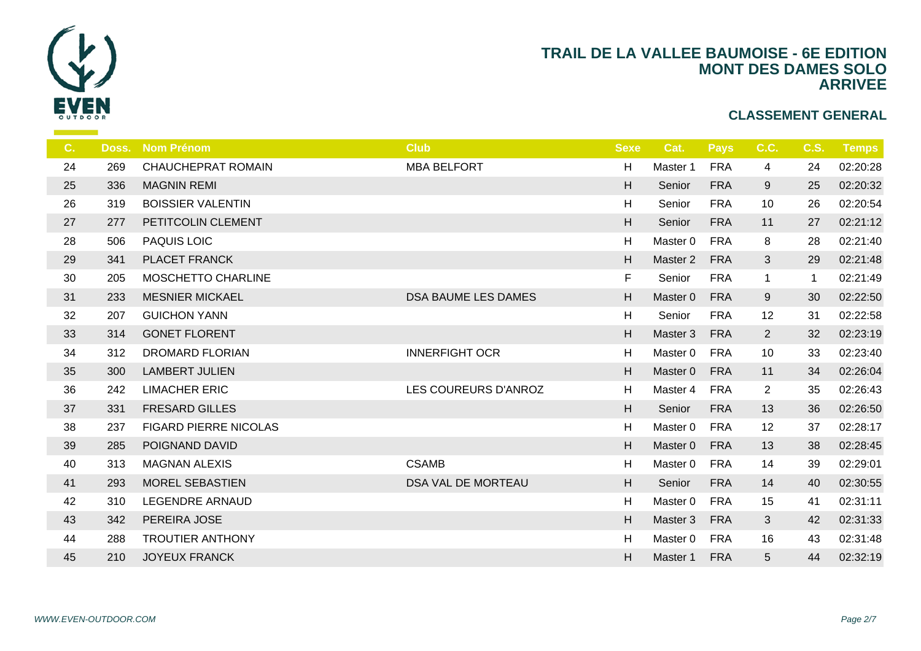

| C. | Doss. | <b>Nom Prénom</b>            | <b>Club</b>               | <b>Sexe</b> |                |
|----|-------|------------------------------|---------------------------|-------------|----------------|
| 24 | 269   | <b>CHAUCHEPRAT ROMAIN</b>    | <b>MBA BELFORT</b>        | H           | Ma             |
| 25 | 336   | <b>MAGNIN REMI</b>           |                           | H           | S <sub>6</sub> |
| 26 | 319   | <b>BOISSIER VALENTIN</b>     |                           | H           | $S_6$          |
| 27 | 277   | PETITCOLIN CLEMENT           |                           | H           | S <sub>6</sub> |
| 28 | 506   | <b>PAQUIS LOIC</b>           |                           | H           | Ma             |
| 29 | 341   | PLACET FRANCK                |                           | H           | Ma             |
| 30 | 205   | MOSCHETTO CHARLINE           |                           | F           | $S_{\epsilon}$ |
| 31 | 233   | <b>MESNIER MICKAEL</b>       | DSA BAUME LES DAMES       | H           | Ma             |
| 32 | 207   | <b>GUICHON YANN</b>          |                           | H           | S <sub>6</sub> |
| 33 | 314   | <b>GONET FLORENT</b>         |                           | H           | Ma             |
| 34 | 312   | <b>DROMARD FLORIAN</b>       | <b>INNERFIGHT OCR</b>     | H           | Ma             |
| 35 | 300   | <b>LAMBERT JULIEN</b>        |                           | H           | Ma             |
| 36 | 242   | <b>LIMACHER ERIC</b>         | LES COUREURS D'ANROZ      | H           | Ma             |
| 37 | 331   | <b>FRESARD GILLES</b>        |                           | H           | S <sub>6</sub> |
| 38 | 237   | <b>FIGARD PIERRE NICOLAS</b> |                           | H           | Ma             |
| 39 | 285   | POIGNAND DAVID               |                           | H           | Ma             |
| 40 | 313   | <b>MAGNAN ALEXIS</b>         | <b>CSAMB</b>              | H           | Ma             |
| 41 | 293   | <b>MOREL SEBASTIEN</b>       | <b>DSA VAL DE MORTEAU</b> | H           | S <sub>6</sub> |
| 42 | 310   | LEGENDRE ARNAUD              |                           | H           | Ma             |
| 43 | 342   | PEREIRA JOSE                 |                           | H           | Ma             |
| 44 | 288   | <b>TROUTIER ANTHONY</b>      |                           | H           | Ma             |
| 45 | 210   | <b>JOYEUX FRANCK</b>         |                           | H           | Ma             |
|    |       |                              |                           |             |                |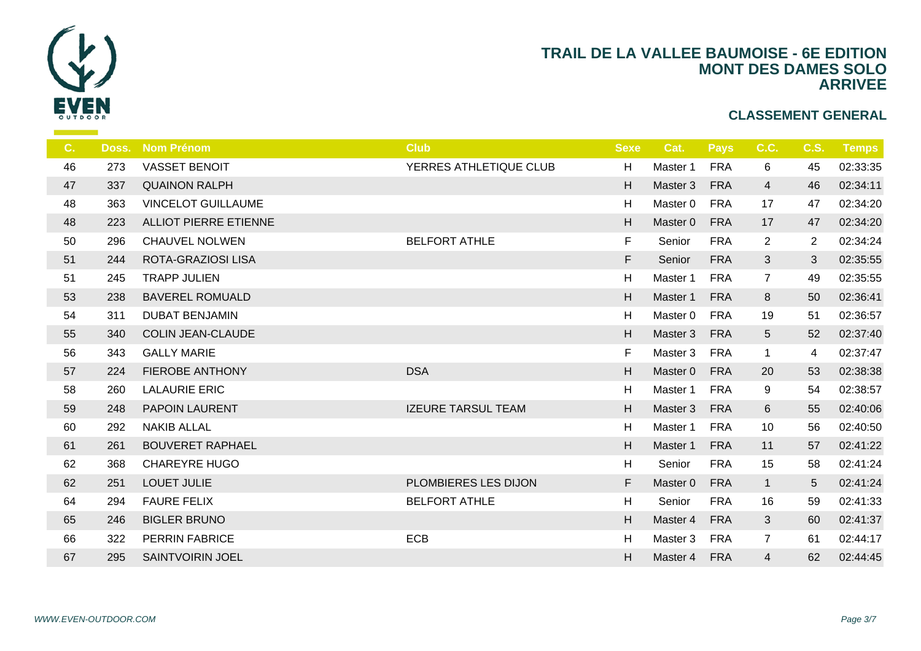

| $C_{1}$ | Doss. | <b>Nom Prénom</b>            | <b>Club</b>               | <b>Sexe</b> | - C            |
|---------|-------|------------------------------|---------------------------|-------------|----------------|
| 46      | 273   | <b>VASSET BENOIT</b>         | YERRES ATHLETIQUE CLUB    | H           | Ma             |
| 47      | 337   | <b>QUAINON RALPH</b>         |                           | H           | Ma             |
| 48      | 363   | <b>VINCELOT GUILLAUME</b>    |                           | H           | Ma             |
| 48      | 223   | <b>ALLIOT PIERRE ETIENNE</b> |                           | H           | Ma             |
| 50      | 296   | <b>CHAUVEL NOLWEN</b>        | <b>BELFORT ATHLE</b>      | F.          | S <sub>6</sub> |
| 51      | 244   | <b>ROTA-GRAZIOSI LISA</b>    |                           | F.          | S6             |
| 51      | 245   | <b>TRAPP JULIEN</b>          |                           | H           | Ma             |
| 53      | 238   | <b>BAVEREL ROMUALD</b>       |                           | H           | Ma             |
| 54      | 311   | <b>DUBAT BENJAMIN</b>        |                           | H           | Ma             |
| 55      | 340   | <b>COLIN JEAN-CLAUDE</b>     |                           | H           | Ma             |
| 56      | 343   | <b>GALLY MARIE</b>           |                           | F.          | Ma             |
| 57      | 224   | <b>FIEROBE ANTHONY</b>       | <b>DSA</b>                | H           | Ma             |
| 58      | 260   | <b>LALAURIE ERIC</b>         |                           | H           | Ma             |
| 59      | 248   | PAPOIN LAURENT               | <b>IZEURE TARSUL TEAM</b> | H           | Ma             |
| 60      | 292   | <b>NAKIB ALLAL</b>           |                           | H           | Ma             |
| 61      | 261   | <b>BOUVERET RAPHAEL</b>      |                           | H           | Ma             |
| 62      | 368   | <b>CHAREYRE HUGO</b>         |                           | H           | S <sub>6</sub> |
| 62      | 251   | <b>LOUET JULIE</b>           | PLOMBIERES LES DIJON      | F.          | Ma             |
| 64      | 294   | <b>FAURE FELIX</b>           | <b>BELFORT ATHLE</b>      | H           | S <sub>6</sub> |
| 65      | 246   | <b>BIGLER BRUNO</b>          |                           | H           | Ma             |
| 66      | 322   | <b>PERRIN FABRICE</b>        | <b>ECB</b>                | H           | Ma             |
| 67      | 295   | <b>SAINTVOIRIN JOEL</b>      |                           | H.          | Mas            |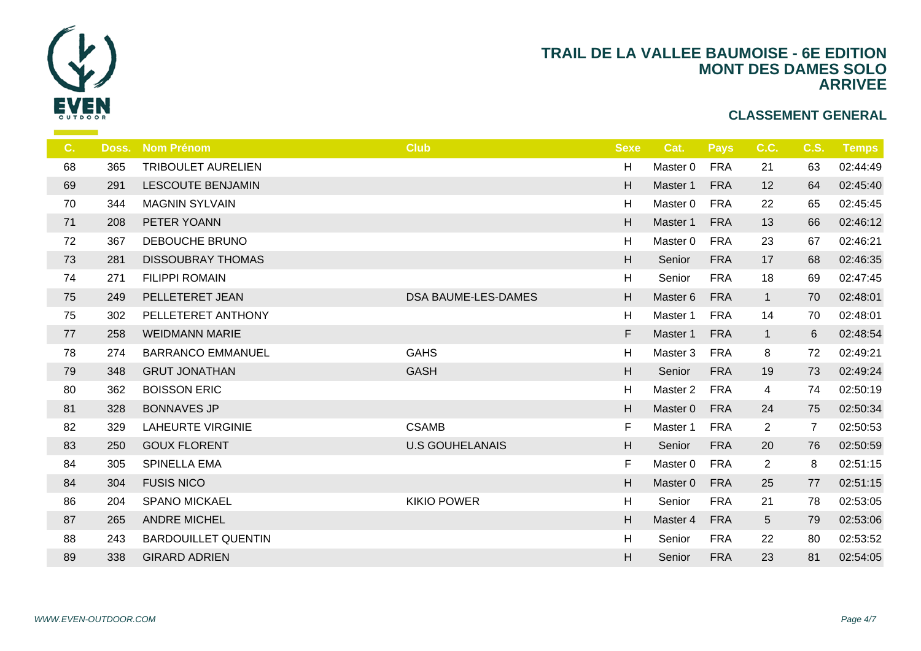

| $C_{1}$ | Doss. | <b>Nom Prénom</b>          | <b>Club</b>            | <b>Sexe</b>               |                |
|---------|-------|----------------------------|------------------------|---------------------------|----------------|
| 68      | 365   | <b>TRIBOULET AURELIEN</b>  |                        | H                         | Ma             |
| 69      | 291   | LESCOUTE BENJAMIN          |                        | H                         | Ma             |
| 70      | 344   | <b>MAGNIN SYLVAIN</b>      |                        | H                         | Ma             |
| 71      | 208   | PETER YOANN                |                        | H                         | Ma             |
| 72      | 367   | DEBOUCHE BRUNO             |                        | H                         | Ma             |
| 73      | 281   | <b>DISSOUBRAY THOMAS</b>   |                        | $\boldsymbol{\mathsf{H}}$ | S <sub>6</sub> |
| 74      | 271   | <b>FILIPPI ROMAIN</b>      |                        | H                         | $S_{\epsilon}$ |
| 75      | 249   | PELLETERET JEAN            | DSA BAUME-LES-DAMES    | H                         | Ma             |
| 75      | 302   | PELLETERET ANTHONY         |                        | H                         | Ma             |
| 77      | 258   | <b>WEIDMANN MARIE</b>      |                        | F                         | Ma             |
| 78      | 274   | <b>BARRANCO EMMANUEL</b>   | <b>GAHS</b>            | H                         | Ma             |
| 79      | 348   | <b>GRUT JONATHAN</b>       | <b>GASH</b>            | H                         | S <sub>6</sub> |
| 80      | 362   | <b>BOISSON ERIC</b>        |                        | H                         | Ma             |
| 81      | 328   | <b>BONNAVES JP</b>         |                        | H                         | Ma             |
| 82      | 329   | <b>LAHEURTE VIRGINIE</b>   | <b>CSAMB</b>           | F.                        | Ma             |
| 83      | 250   | <b>GOUX FLORENT</b>        | <b>U.S GOUHELANAIS</b> | H                         | S <sub>6</sub> |
| 84      | 305   | <b>SPINELLA EMA</b>        |                        | F.                        | Ma             |
| 84      | 304   | <b>FUSIS NICO</b>          |                        | H                         | Ma             |
| 86      | 204   | <b>SPANO MICKAEL</b>       | <b>KIKIO POWER</b>     | H                         | S6             |
| 87      | 265   | <b>ANDRE MICHEL</b>        |                        | H                         | Ma             |
| 88      | 243   | <b>BARDOUILLET QUENTIN</b> |                        | H                         | S6             |
| 89      | 338   | <b>GIRARD ADRIEN</b>       |                        | H                         | S <sub>6</sub> |
|         |       |                            |                        |                           |                |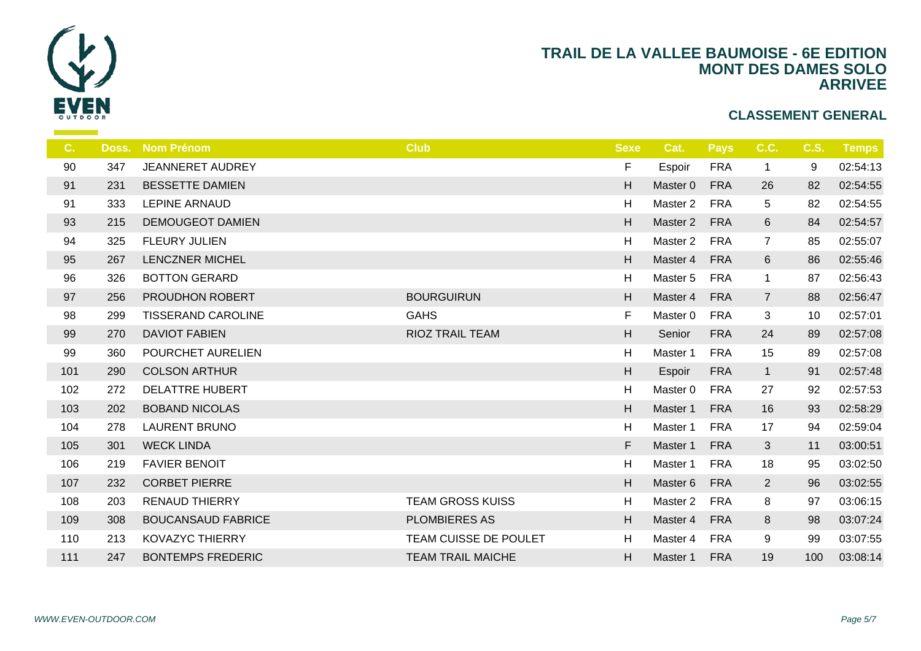

| C.  | Doss. | <b>Nom Prénom</b>         | <b>Club</b>              | <b>Sexe</b>               |                |
|-----|-------|---------------------------|--------------------------|---------------------------|----------------|
| 90  | 347   | JEANNERET AUDREY          |                          | F.                        | Es             |
| 91  | 231   | <b>BESSETTE DAMIEN</b>    |                          | H                         | Ma             |
| 91  | 333   | LEPINE ARNAUD             |                          | H                         | Ma             |
| 93  | 215   | <b>DEMOUGEOT DAMIEN</b>   |                          | H                         | Ma             |
| 94  | 325   | FLEURY JULIEN             |                          | H                         | Ma             |
| 95  | 267   | <b>LENCZNER MICHEL</b>    |                          | H                         | Ma             |
| 96  | 326   | <b>BOTTON GERARD</b>      |                          | H                         | Ma             |
| 97  | 256   | PROUDHON ROBERT           | <b>BOURGUIRUN</b>        | H                         | Ma             |
| 98  | 299   | <b>TISSERAND CAROLINE</b> | <b>GAHS</b>              | F                         | Ma             |
| 99  | 270   | <b>DAVIOT FABIEN</b>      | <b>RIOZ TRAIL TEAM</b>   | $\boldsymbol{\mathsf{H}}$ | S <sub>6</sub> |
| 99  | 360   | POURCHET AURELIEN         |                          | H                         | Ma             |
| 101 | 290   | <b>COLSON ARTHUR</b>      |                          | H                         | Es             |
| 102 | 272   | <b>DELATTRE HUBERT</b>    |                          | H                         | Ma             |
| 103 | 202   | <b>BOBAND NICOLAS</b>     |                          | H                         | Ma             |
| 104 | 278   | <b>LAURENT BRUNO</b>      |                          | H                         | Ma             |
| 105 | 301   | <b>WECK LINDA</b>         |                          | F.                        | Ma             |
| 106 | 219   | <b>FAVIER BENOIT</b>      |                          | H                         | Ma             |
| 107 | 232   | <b>CORBET PIERRE</b>      |                          | H                         | Ma             |
| 108 | 203   | <b>RENAUD THIERRY</b>     | <b>TEAM GROSS KUISS</b>  | H                         | Ma             |
| 109 | 308   | <b>BOUCANSAUD FABRICE</b> | <b>PLOMBIERES AS</b>     | H                         | Ma             |
| 110 | 213   | <b>KOVAZYC THIERRY</b>    | TEAM CUISSE DE POULET    | H                         | Ma             |
| 111 | 247   | <b>BONTEMPS FREDERIC</b>  | <b>TEAM TRAIL MAICHE</b> | H                         | Ma             |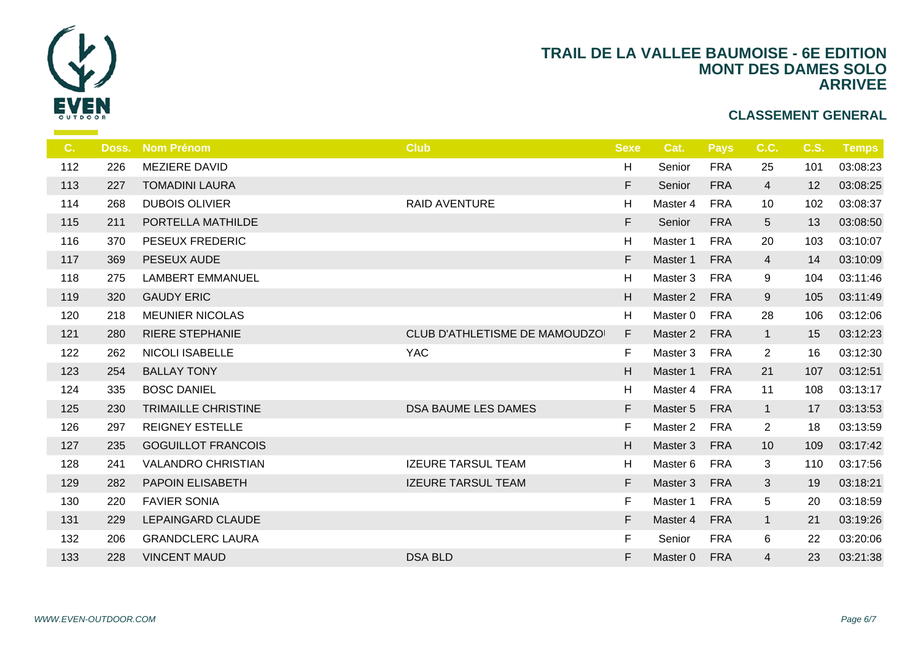

| C.  | Doss. | <b>Nom Prénom</b>          | <b>Club</b>                    | <b>Sexe</b> |                |
|-----|-------|----------------------------|--------------------------------|-------------|----------------|
| 112 | 226   | MEZIERE DAVID              |                                | H           | $S_6$          |
| 113 | 227   | <b>TOMADINI LAURA</b>      |                                | F.          | S <sub>6</sub> |
| 114 | 268   | <b>DUBOIS OLIVIER</b>      | <b>RAID AVENTURE</b>           | H.          | Ma             |
| 115 | 211   | PORTELLA MATHILDE          |                                | F           | S <sub>6</sub> |
| 116 | 370   | <b>PESEUX FREDERIC</b>     |                                | H           | Ma             |
| 117 | 369   | PESEUX AUDE                |                                | F.          | Ma             |
| 118 | 275   | <b>LAMBERT EMMANUEL</b>    |                                | H           | Ma             |
| 119 | 320   | <b>GAUDY ERIC</b>          |                                | H           | Ma             |
| 120 | 218   | <b>MEUNIER NICOLAS</b>     |                                | H           | Ma             |
| 121 | 280   | <b>RIERE STEPHANIE</b>     | CLUB D'ATHLETISME DE MAMOUDZOI | F           | Ma             |
| 122 | 262   | <b>NICOLI ISABELLE</b>     | <b>YAC</b>                     | F           | Ma             |
| 123 | 254   | <b>BALLAY TONY</b>         |                                | H           | Ma             |
| 124 | 335   | <b>BOSC DANIEL</b>         |                                | H           | Ma             |
| 125 | 230   | <b>TRIMAILLE CHRISTINE</b> | DSA BAUME LES DAMES            | F           | Ma             |
| 126 | 297   | <b>REIGNEY ESTELLE</b>     |                                | F           | Ma             |
| 127 | 235   | <b>GOGUILLOT FRANCOIS</b>  |                                | H           | Ma             |
| 128 | 241   | <b>VALANDRO CHRISTIAN</b>  | <b>IZEURE TARSUL TEAM</b>      | H           | Ma             |
| 129 | 282   | PAPOIN ELISABETH           | <b>IZEURE TARSUL TEAM</b>      | F           | Ma             |
| 130 | 220   | <b>FAVIER SONIA</b>        |                                | F.          | Ma             |
| 131 | 229   | LEPAINGARD CLAUDE          |                                | F           | Ma             |
| 132 | 206   | <b>GRANDCLERC LAURA</b>    |                                | F.          | $S_{\epsilon}$ |
| 133 | 228   | <b>VINCENT MAUD</b>        | <b>DSA BLD</b>                 | F           | Ma             |